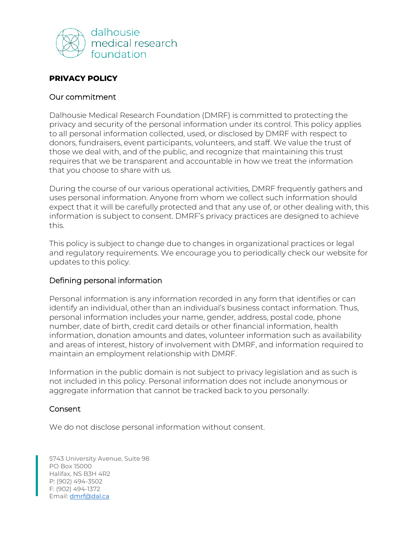

# **PRIVACY POLICY**

## Our commitment

Dalhousie Medical Research Foundation (DMRF) is committed to protecting the privacy and security of the personal information under its control. This policy applies to all personal information collected, used, or disclosed by DMRF with respect to donors, fundraisers, event participants, volunteers, and staff. We value the trust of those we deal with, and of the public, and recognize that maintaining this trust requires that we be transparent and accountable in how we treat the information that you choose to share with us.

During the course of our various operational activities, DMRF frequently gathers and uses personal information. Anyone from whom we collect such information should expect that it will be carefully protected and that any use of, or other dealing with, this information is subject to consent. DMRF's privacy practices are designed to achieve this.

This policy is subject to change due to changes in organizational practices or legal and regulatory requirements. We encourage you to periodically check our website for updates to this policy.

# Defining personal information

Personal information is any information recorded in any form that identifies or can identify an individual, other than an individual's business contact information. Thus, personal information includes your name, gender, address, postal code, phone number, date of birth, credit card details or other financial information, health information, donation amounts and dates, volunteer information such as availability and areas of interest, history of involvement with DMRF, and information required to maintain an employment relationship with DMRF.

Information in the public domain is not subject to privacy legislation and as such is not included in this policy. Personal information does not include anonymous or aggregate information that cannot be tracked back to you personally.

# Consent

We do not disclose personal information without consent.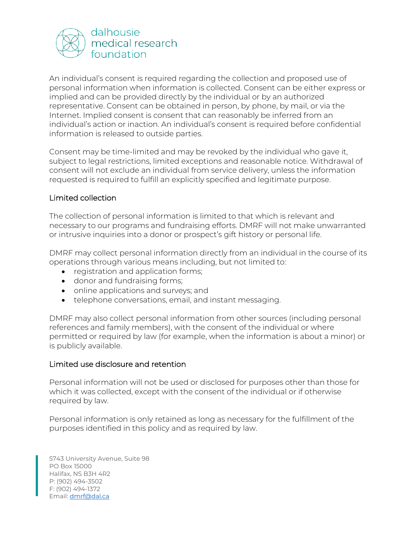

An individual's consent is required regarding the collection and proposed use of personal information when information is collected. Consent can be either express or implied and can be provided directly by the individual or by an authorized representative. Consent can be obtained in person, by phone, by mail, or via the Internet. Implied consent is consent that can reasonably be inferred from an individual's action or inaction. An individual's consent is required before confidential information is released to outside parties.

Consent may be time-limited and may be revoked by the individual who gave it, subject to legal restrictions, limited exceptions and reasonable notice. Withdrawal of consent will not exclude an individual from service delivery, unless the information requested is required to fulfill an explicitly specified and legitimate purpose.

## Limited collection

The collection of personal information is limited to that which is relevant and necessary to our programs and fundraising efforts. DMRF will not make unwarranted or intrusive inquiries into a donor or prospect's gift history or personal life.

DMRF may collect personal information directly from an individual in the course of its operations through various means including, but not limited to:

- registration and application forms;
- donor and fundraising forms;
- online applications and surveys; and
- telephone conversations, email, and instant messaging.

DMRF may also collect personal information from other sources (including personal references and family members), with the consent of the individual or where permitted or required by law (for example, when the information is about a minor) or is publicly available.

#### Limited use disclosure and retention

Personal information will not be used or disclosed for purposes other than those for which it was collected, except with the consent of the individual or if otherwise required by law.

Personal information is only retained as long as necessary for the fulfillment of the purposes identified in this policy and as required by law.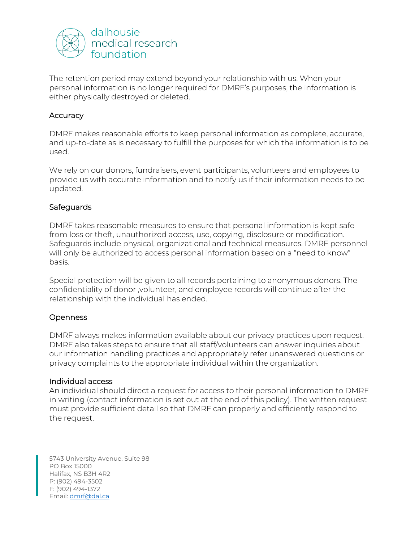

The retention period may extend beyond your relationship with us. When your personal information is no longer required for DMRF's purposes, the information is either physically destroyed or deleted.

## **Accuracy**

DMRF makes reasonable efforts to keep personal information as complete, accurate, and up-to-date as is necessary to fulfill the purposes for which the information is to be used.

We rely on our donors, fundraisers, event participants, volunteers and employees to provide us with accurate information and to notify us if their information needs to be updated.

## **Safeguards**

DMRF takes reasonable measures to ensure that personal information is kept safe from loss or theft, unauthorized access, use, copying, disclosure or modification. Safeguards include physical, organizational and technical measures. DMRF personnel will only be authorized to access personal information based on a "need to know" basis.

Special protection will be given to all records pertaining to anonymous donors. The confidentiality of donor ,volunteer, and employee records will continue after the relationship with the individual has ended.

# **Openness**

DMRF always makes information available about our privacy practices upon request. DMRF also takes steps to ensure that all staff/volunteers can answer inquiries about our information handling practices and appropriately refer unanswered questions or privacy complaints to the appropriate individual within the organization.

#### Individual access

An individual should direct a request for access to their personal information to DMRF in writing (contact information is set out at the end of this policy). The written request must provide sufficient detail so that DMRF can properly and efficiently respond to the request.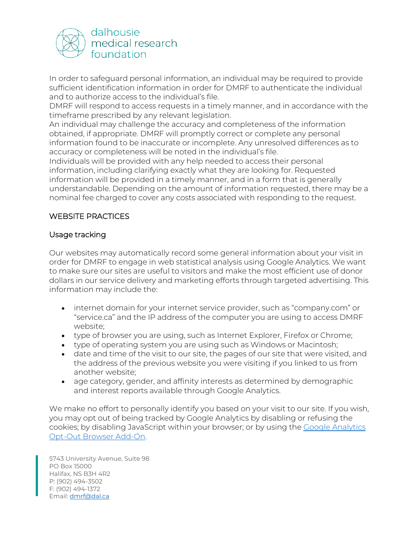

In order to safeguard personal information, an individual may be required to provide sufficient identification information in order for DMRF to authenticate the individual and to authorize access to the individual's file.

DMRF will respond to access requests in a timely manner, and in accordance with the timeframe prescribed by any relevant legislation.

An individual may challenge the accuracy and completeness of the information obtained, if appropriate. DMRF will promptly correct or complete any personal information found to be inaccurate or incomplete. Any unresolved differences as to accuracy or completeness will be noted in the individual's file.

Individuals will be provided with any help needed to access their personal information, including clarifying exactly what they are looking for. Requested information will be provided in a timely manner, and in a form that is generally understandable. Depending on the amount of information requested, there may be a nominal fee charged to cover any costs associated with responding to the request.

# WEBSITE PRACTICES

# Usage tracking

Our websites may automatically record some general information about your visit in order for DMRF to engage in web statistical analysis using Google Analytics. We want to make sure our sites are useful to visitors and make the most efficient use of donor dollars in our service delivery and marketing efforts through targeted advertising. This information may include the:

- internet domain for your internet service provider, such as "company.com" or "service.ca" and the IP address of the computer you are using to access DMRF website;
- type of browser you are using, such as Internet Explorer, Firefox or Chrome;
- type of operating system you are using such as Windows or Macintosh;
- date and time of the visit to our site, the pages of our site that were visited, and the address of the previous website you were visiting if you linked to us from another website;
- age category, gender, and affinity interests as determined by demographic and interest reports available through Google Analytics.

We make no effort to personally identify you based on your visit to our site. If you wish, you may opt out of being tracked by Google Analytics by disabling or refusing the cookies; by disabling JavaScript within your browser; or by using the [Google Analytics](https://tools.google.com/dlpage/gaoptout?hl=en)  [Opt-Out Browser Add-On.](https://tools.google.com/dlpage/gaoptout?hl=en)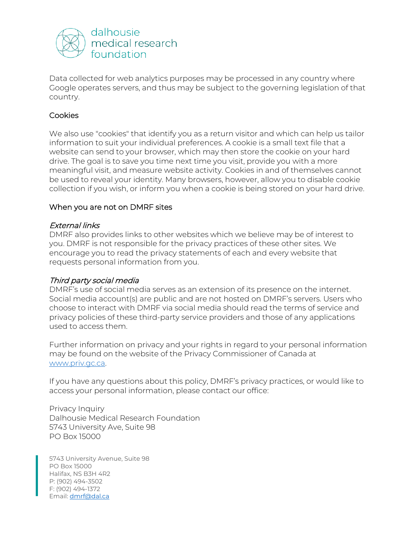

Data collected for web analytics purposes may be processed in any country where Google operates servers, and thus may be subject to the governing legislation of that country.

# **Cookies**

We also use "cookies" that identify you as a return visitor and which can help us tailor information to suit your individual preferences. A cookie is a small text file that a website can send to your browser, which may then store the cookie on your hard drive. The goal is to save you time next time you visit, provide you with a more meaningful visit, and measure website activity. Cookies in and of themselves cannot be used to reveal your identity. Many browsers, however, allow you to disable cookie collection if you wish, or inform you when a cookie is being stored on your hard drive.

## When you are not on DMRF sites

## External links

DMRF also provides links to other websites which we believe may be of interest to you. DMRF is not responsible for the privacy practices of these other sites. We encourage you to read the privacy statements of each and every website that requests personal information from you.

#### Third party social media

DMRF's use of social media serves as an extension of its presence on the internet. Social media account(s) are public and are not hosted on DMRF's servers. Users who choose to interact with DMRF via social media should read the terms of service and privacy policies of these third-party service providers and those of any applications used to access them.

Further information on privacy and your rights in regard to your personal information may be found on the website of the Privacy Commissioner of Canada at [www.priv.gc.ca.](http://www.priv.gc.ca/)

If you have any questions about this policy, DMRF's privacy practices, or would like to access your personal information, please contact our office:

Privacy Inquiry Dalhousie Medical Research Foundation 5743 University Ave, Suite 98 PO Box 15000